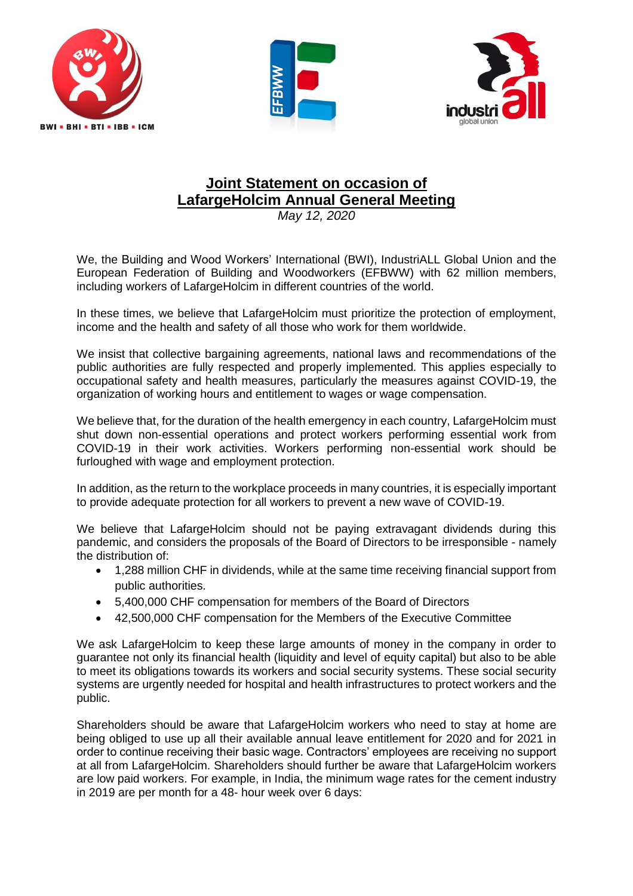





## **Joint Statement on occasion of LafargeHolcim Annual General Meeting**

*May 12, 2020*

We, the Building and Wood Workers' International (BWI), IndustriALL Global Union and the European Federation of Building and Woodworkers (EFBWW) with 62 million members, including workers of LafargeHolcim in different countries of the world.

In these times, we believe that LafargeHolcim must prioritize the protection of employment, income and the health and safety of all those who work for them worldwide.

We insist that collective bargaining agreements, national laws and recommendations of the public authorities are fully respected and properly implemented. This applies especially to occupational safety and health measures, particularly the measures against COVID-19, the organization of working hours and entitlement to wages or wage compensation.

We believe that, for the duration of the health emergency in each country, LafargeHolcim must shut down non-essential operations and protect workers performing essential work from COVID-19 in their work activities. Workers performing non-essential work should be furloughed with wage and employment protection.

In addition, as the return to the workplace proceeds in many countries, it is especially important to provide adequate protection for all workers to prevent a new wave of COVID-19.

We believe that LafargeHolcim should not be paying extravagant dividends during this pandemic, and considers the proposals of the Board of Directors to be irresponsible - namely the distribution of:

- 1,288 million CHF in dividends, while at the same time receiving financial support from public authorities.
- 5,400,000 CHF compensation for members of the Board of Directors
- 42,500,000 CHF compensation for the Members of the Executive Committee

We ask LafargeHolcim to keep these large amounts of money in the company in order to guarantee not only its financial health (liquidity and level of equity capital) but also to be able to meet its obligations towards its workers and social security systems. These social security systems are urgently needed for hospital and health infrastructures to protect workers and the public.

Shareholders should be aware that LafargeHolcim workers who need to stay at home are being obliged to use up all their available annual leave entitlement for 2020 and for 2021 in order to continue receiving their basic wage. Contractors' employees are receiving no support at all from LafargeHolcim. Shareholders should further be aware that LafargeHolcim workers are low paid workers. For example, in India, the minimum wage rates for the cement industry in 2019 are per month for a 48- hour week over 6 days: